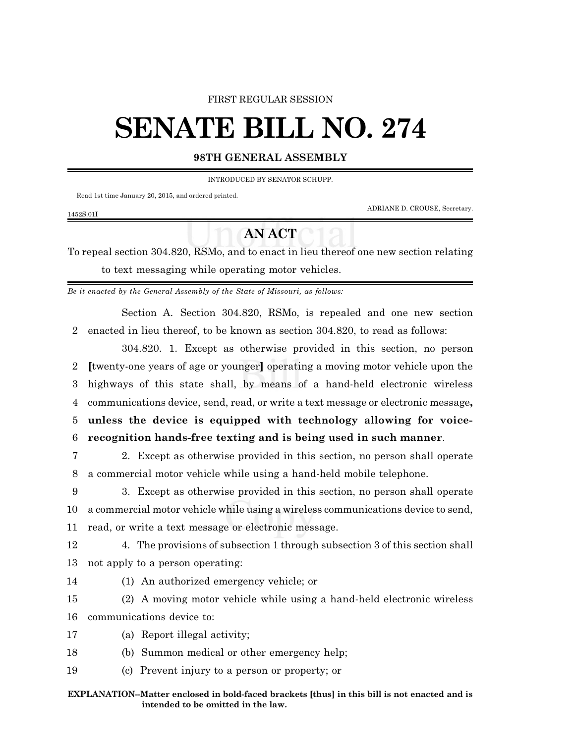### FIRST REGULAR SESSION

# **SENATE BILL NO. 274**

## **98TH GENERAL ASSEMBLY**

INTRODUCED BY SENATOR SCHUPP.

Read 1st time January 20, 2015, and ordered printed.

ADRIANE D. CROUSE, Secretary.

## 1452S.01I

## **AN ACT**

To repeal section 304.820, RSMo, and to enact in lieu thereof one new section relating to text messaging while operating motor vehicles.

*Be it enacted by the General Assembly of the State of Missouri, as follows:*

Section A. Section 304.820, RSMo, is repealed and one new section 2 enacted in lieu thereof, to be known as section 304.820, to read as follows:

304.820. 1. Except as otherwise provided in this section, no person **[**twenty-one years of age or younger**]** operating a moving motor vehicle upon the highways of this state shall, by means of a hand-held electronic wireless communications device, send, read, or write a text message or electronic message**, unless the device is equipped with technology allowing for voice-recognition hands-free texting and is being used in such manner**.

7 2. Except as otherwise provided in this section, no person shall operate 8 a commercial motor vehicle while using a hand-held mobile telephone.

9 3. Except as otherwise provided in this section, no person shall operate 10 a commercial motor vehicle while using a wireless communications device to send, 11 read, or write a text message or electronic message.

12 4. The provisions of subsection 1 through subsection 3 of this section shall 13 not apply to a person operating:

14 (1) An authorized emergency vehicle; or

15 (2) A moving motor vehicle while using a hand-held electronic wireless 16 communications device to:

- 17 (a) Report illegal activity;
- 18 (b) Summon medical or other emergency help;
- 19 (c) Prevent injury to a person or property; or

#### **EXPLANATION--Matter enclosed in bold-faced brackets [thus] in this bill is not enacted and is intended to be omitted in the law.**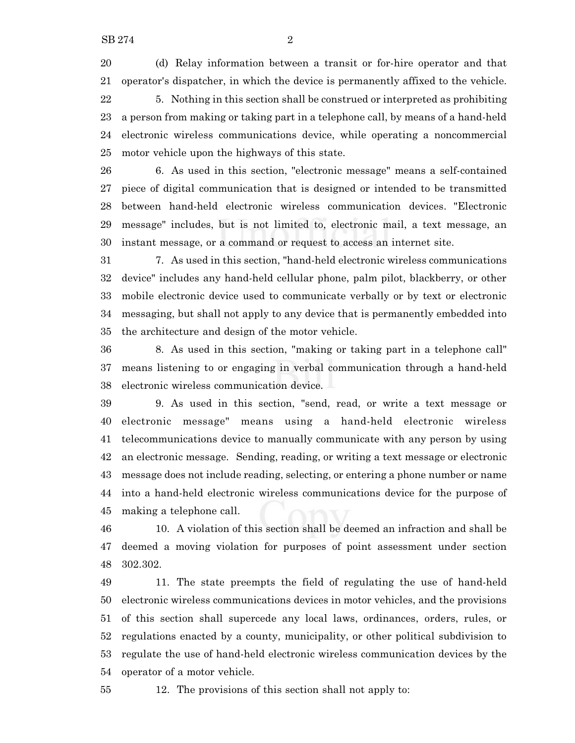(d) Relay information between a transit or for-hire operator and that operator's dispatcher, in which the device is permanently affixed to the vehicle. 5. Nothing in this section shall be construed or interpreted as prohibiting a person from making or taking part in a telephone call, by means of a hand-held electronic wireless communications device, while operating a noncommercial motor vehicle upon the highways of this state.

 6. As used in this section, "electronic message" means a self-contained piece of digital communication that is designed or intended to be transmitted between hand-held electronic wireless communication devices. "Electronic message" includes, but is not limited to, electronic mail, a text message, an instant message, or a command or request to access an internet site.

 7. As used in this section, "hand-held electronic wireless communications device" includes any hand-held cellular phone, palm pilot, blackberry, or other mobile electronic device used to communicate verbally or by text or electronic messaging, but shall not apply to any device that is permanently embedded into the architecture and design of the motor vehicle.

 8. As used in this section, "making or taking part in a telephone call" means listening to or engaging in verbal communication through a hand-held electronic wireless communication device.

 9. As used in this section, "send, read, or write a text message or electronic message" means using a hand-held electronic wireless telecommunications device to manually communicate with any person by using an electronic message. Sending, reading, or writing a text message or electronic message does not include reading, selecting, or entering a phone number or name into a hand-held electronic wireless communications device for the purpose of making a telephone call.

 10. A violation of this section shall be deemed an infraction and shall be deemed a moving violation for purposes of point assessment under section 302.302.

 11. The state preempts the field of regulating the use of hand-held electronic wireless communications devices in motor vehicles, and the provisions of this section shall supercede any local laws, ordinances, orders, rules, or regulations enacted by a county, municipality, or other political subdivision to regulate the use of hand-held electronic wireless communication devices by the operator of a motor vehicle.

12. The provisions of this section shall not apply to: